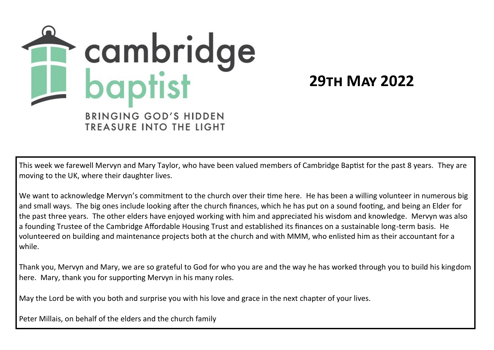

**29th May 2022**

This week we farewell Mervyn and Mary Taylor, who have been valued members of Cambridge Baptist for the past 8 years. They are moving to the UK, where their daughter lives.

We want to acknowledge Mervyn's commitment to the church over their time here. He has been a willing volunteer in numerous big and small ways. The big ones include looking after the church finances, which he has put on a sound footing, and being an Elder for the past three years. The other elders have enjoyed working with him and appreciated his wisdom and knowledge. Mervyn was also a founding Trustee of the Cambridge Affordable Housing Trust and established its finances on a sustainable long-term basis. He volunteered on building and maintenance projects both at the church and with MMM, who enlisted him as their accountant for a while.

Thank you, Mervyn and Mary, we are so grateful to God for who you are and the way he has worked through you to build his kingdom here. Mary, thank you for supporting Mervyn in his many roles.

May the Lord be with you both and surprise you with his love and grace in the next chapter of your lives.

Peter Millais, on behalf of the elders and the church family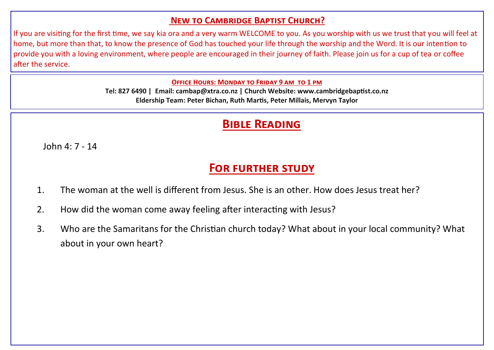#### **New to Cambridge Baptist Church?**

If you are visiting for the first time, we say kia ora and a very warm WELCOME to you. As you worship with us we trust that you will feel at home, but more than that, to know the presence of God has touched your life through the worship and the Word. It is our intention to provide you with a loving environment, where people are encouraged in their journey of faith. Please join us for a cup of tea or coffee after the service.

#### **Office Hours: Monday to Friday 9 am to 1 pm**

**Tel: 827 6490 | Email: cambap@xtra.co.nz | Church Website: www.cambridgebaptist.co.nz Eldership Team: Peter Bichan, Ruth Martis, Peter Millais, Mervyn Taylor**

## **Bible Reading**

John  $4:7-14$ 

# **For further study**

- 1. The woman at the well is different from Jesus. She is an other. How does Jesus treat her?
- 2. How did the woman come away feeling after interacting with Jesus?
- 3. Who are the Samaritans for the Christian church today? What about in your local community? What about in your own heart?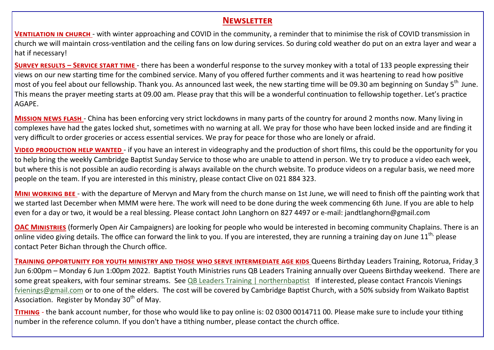#### **Newsletter**

**VENTILATION IN CHURCH - with winter approaching and COVID in the community, a reminder that to minimise the risk of COVID transmission in** church we will maintain cross-ventilation and the ceiling fans on low during services. So during cold weather do put on an extra layer and wear a hat if necessary!

**Survey results – Service start time** - there has been a wonderful response to the survey monkey with a total of 133 people expressing their views on our new starting time for the combined service. Many of you offered further comments and it was heartening to read how positive most of you feel about our fellowship. Thank you. As announced last week, the new starting time will be 09.30 am beginning on Sunday 5<sup>th</sup> June. This means the prayer meeting starts at 09.00 am. Please pray that this will be a wonderful continuation to fellowship together. Let's practice AGAPE.

**Mission news flash** - China has been enforcing very strict lockdowns in many parts of the country for around 2 months now. Many living in complexes have had the gates locked shut, sometimes with no warning at all. We pray for those who have been locked inside and are finding it very difficult to order groceries or access essential services. We pray for peace for those who are lonely or afraid.

**Video production help wanted** - if you have an interest in videography and the production of short films, this could be the opportunity for you to help bring the weekly Cambridge Baptist Sunday Service to those who are unable to attend in person. We try to produce a video each week, but where this is not possible an audio recording is always available on the church website. To produce videos on a regular basis, we need more people on the team. If you are interested in this ministry, please contact Clive on 021 884 323.

**Mini working bee** - with the departure of Mervyn and Mary from the church manse on 1st June, we will need to finish off the painting work that we started last December when MMM were here. The work will need to be done during the week commencing 6th June. If you are able to help even for a day or two, it would be a real blessing. Please contact John Langhorn on 827 4497 or e-mail: jandtlanghorn@gmail.com

**OAC Ministries** (formerly Open Air Campaigners) are looking for people who would be interested in becoming community Chaplains. There is an online video giving details. The office can forward the link to you. If you are interested, they are running a training day on June  $11<sup>th</sup>$ , please contact Peter Bichan through the Church office.

**Training opportunity for youth ministry and those who serve intermediate age kids** Queens Birthday Leaders Training, Rotorua, Friday 3 Jun 6:00pm – Monday 6 Jun 1:00pm 2022. Baptist Youth Ministries runs QB Leaders Training annually over Queens Birthday weekend. There are some great speakers, with four seminar streams. See [QB Leaders Training | northernbaptist](https://www.northernbaptist.org.nz/qbleaderstraining) If interested, please contact Francois Vienings [fvienings@gmail.com](mailto:fvienings@gmail.com) or to one of the elders. The cost will be covered by Cambridge Baptist Church, with a 50% subsidy from Waikato Baptist Association. Register by Monday  $30<sup>th</sup>$  of May.

**Tithing** - the bank account number, for those who would like to pay online is: 02 0300 0014711 00. Please make sure to include your tithing number in the reference column. If you don't have a tithing number, please contact the church office.